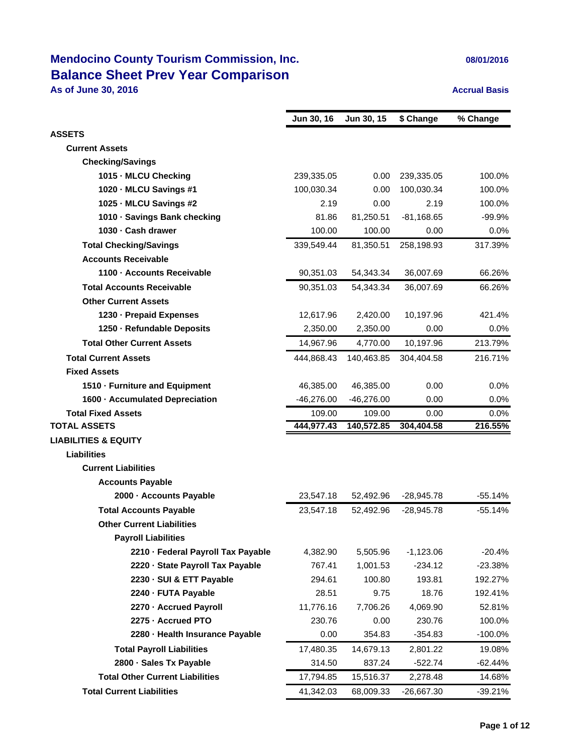### **Mendocino County Tourism Commission, Inc. 1998 12016** 08/01/2016 **Balance Sheet Prev Year Comparison**

**As of June 30, 2016 Accrual Basis Accrual Basis** 

|                                        | Jun 30, 16   | Jun 30, 15   | \$ Change    | % Change   |
|----------------------------------------|--------------|--------------|--------------|------------|
| <b>ASSETS</b>                          |              |              |              |            |
| <b>Current Assets</b>                  |              |              |              |            |
| <b>Checking/Savings</b>                |              |              |              |            |
| 1015 MLCU Checking                     | 239,335.05   | 0.00         | 239,335.05   | 100.0%     |
| 1020 MLCU Savings #1                   | 100,030.34   | 0.00         | 100,030.34   | 100.0%     |
| 1025 MLCU Savings #2                   | 2.19         | 0.00         | 2.19         | 100.0%     |
| 1010 Savings Bank checking             | 81.86        | 81,250.51    | $-81,168.65$ | $-99.9%$   |
| 1030 Cash drawer                       | 100.00       | 100.00       | 0.00         | 0.0%       |
| <b>Total Checking/Savings</b>          | 339,549.44   | 81,350.51    | 258,198.93   | 317.39%    |
| <b>Accounts Receivable</b>             |              |              |              |            |
| 1100 Accounts Receivable               | 90,351.03    | 54,343.34    | 36,007.69    | 66.26%     |
| <b>Total Accounts Receivable</b>       | 90,351.03    | 54,343.34    | 36,007.69    | 66.26%     |
| <b>Other Current Assets</b>            |              |              |              |            |
| 1230 - Prepaid Expenses                | 12,617.96    | 2,420.00     | 10,197.96    | 421.4%     |
| 1250 - Refundable Deposits             | 2,350.00     | 2,350.00     | 0.00         | 0.0%       |
| <b>Total Other Current Assets</b>      | 14,967.96    | 4,770.00     | 10,197.96    | 213.79%    |
| <b>Total Current Assets</b>            | 444,868.43   | 140,463.85   | 304,404.58   | 216.71%    |
| <b>Fixed Assets</b>                    |              |              |              |            |
| 1510 - Furniture and Equipment         | 46,385.00    | 46,385.00    | 0.00         | 0.0%       |
| 1600 - Accumulated Depreciation        | $-46,276.00$ | $-46,276.00$ | 0.00         | 0.0%       |
| <b>Total Fixed Assets</b>              | 109.00       | 109.00       | 0.00         | 0.0%       |
| <b>TOTAL ASSETS</b>                    | 444,977.43   | 140,572.85   | 304,404.58   | 216.55%    |
| <b>LIABILITIES &amp; EQUITY</b>        |              |              |              |            |
| <b>Liabilities</b>                     |              |              |              |            |
| <b>Current Liabilities</b>             |              |              |              |            |
| <b>Accounts Payable</b>                |              |              |              |            |
| 2000 - Accounts Payable                | 23,547.18    | 52,492.96    | $-28,945.78$ | $-55.14%$  |
| <b>Total Accounts Payable</b>          | 23,547.18    | 52,492.96    | $-28,945.78$ | $-55.14%$  |
| <b>Other Current Liabilities</b>       |              |              |              |            |
| <b>Payroll Liabilities</b>             |              |              |              |            |
| 2210 - Federal Payroll Tax Payable     | 4,382.90     | 5,505.96     | $-1,123.06$  | $-20.4%$   |
| 2220 - State Payroll Tax Payable       | 767.41       | 1,001.53     | $-234.12$    | $-23.38%$  |
| 2230 - SUI & ETT Payable               | 294.61       | 100.80       | 193.81       | 192.27%    |
| 2240 - FUTA Payable                    | 28.51        | 9.75         | 18.76        | 192.41%    |
| 2270 - Accrued Payroll                 | 11,776.16    | 7,706.26     | 4,069.90     | 52.81%     |
| 2275 - Accrued PTO                     | 230.76       | 0.00         | 230.76       | 100.0%     |
| 2280 - Health Insurance Payable        | 0.00         | 354.83       | $-354.83$    | $-100.0\%$ |
| <b>Total Payroll Liabilities</b>       | 17,480.35    | 14,679.13    | 2,801.22     | 19.08%     |
| 2800 · Sales Tx Payable                | 314.50       | 837.24       | $-522.74$    | -62.44%    |
| <b>Total Other Current Liabilities</b> | 17,794.85    | 15,516.37    | 2,278.48     | 14.68%     |
| <b>Total Current Liabilities</b>       | 41,342.03    | 68,009.33    | -26,667.30   | $-39.21%$  |
|                                        |              |              |              |            |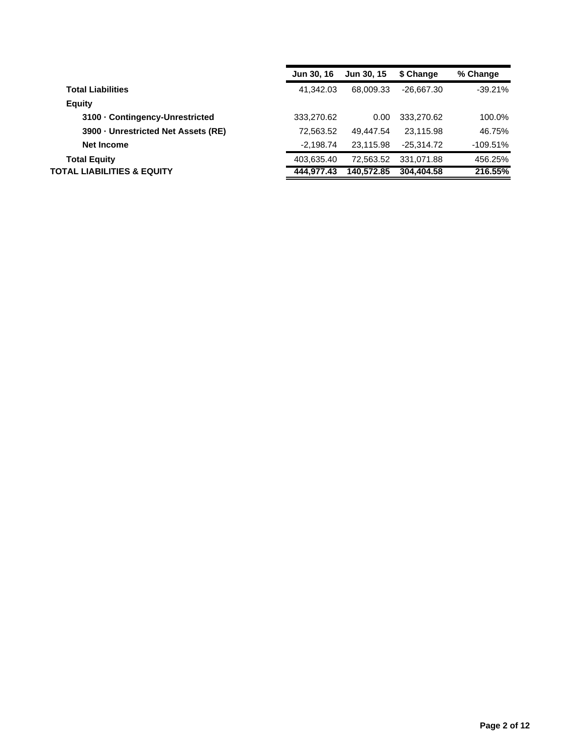|                                   | <b>Jun 30, 16</b> | <b>Jun 30, 15</b> | \$ Change    | % Change   |
|-----------------------------------|-------------------|-------------------|--------------|------------|
| <b>Total Liabilities</b>          | 41.342.03         | 68.009.33         | $-26.667.30$ | $-39.21%$  |
| <b>Equity</b>                     |                   |                   |              |            |
| 3100 Contingency-Unrestricted     | 333,270.62        | 0.00              | 333,270.62   | 100.0%     |
| 3900 Unrestricted Net Assets (RE) | 72.563.52         | 49.447.54         | 23.115.98    | 46.75%     |
| Net Income                        | $-2,198.74$       | 23.115.98         | $-25.314.72$ | $-109.51%$ |
| <b>Total Equity</b>               | 403,635.40        | 72.563.52         | 331.071.88   | 456.25%    |
| TOTAL LIABILITIES & EQUITY        | 444.977.43        | 140.572.85        | 304.404.58   | 216.55%    |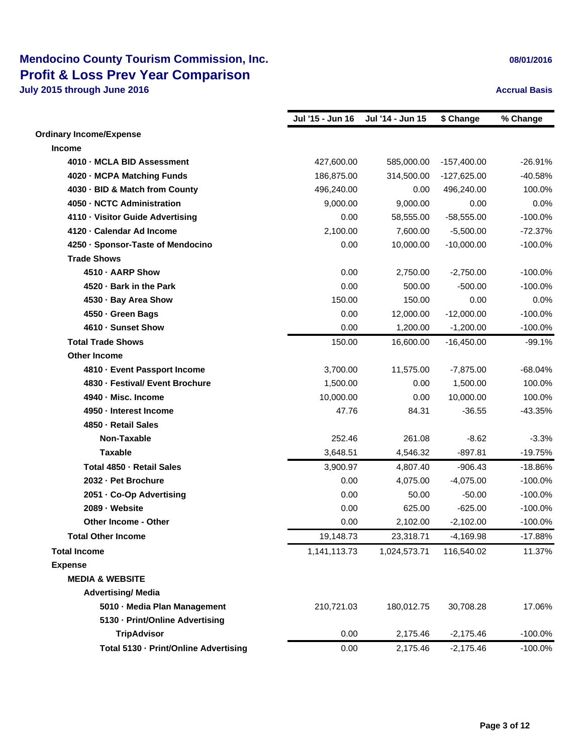## **Mendocino County Tourism Commission, Inc. 08/01/2016** 08/01/2016 **Profit & Loss Prev Year Comparison**

**July 2015 through June 2016 Accrual Basis Accrual Basis Accrual Basis Accrual Basis** 

|                                       | Jul '15 - Jun 16 | Jul '14 - Jun 15 | \$ Change     | % Change  |
|---------------------------------------|------------------|------------------|---------------|-----------|
| <b>Ordinary Income/Expense</b>        |                  |                  |               |           |
| <b>Income</b>                         |                  |                  |               |           |
| 4010 - MCLA BID Assessment            | 427,600.00       | 585,000.00       | $-157,400.00$ | $-26.91%$ |
| 4020 - MCPA Matching Funds            | 186,875.00       | 314,500.00       | $-127,625.00$ | -40.58%   |
| 4030 - BID & Match from County        | 496,240.00       | 0.00             | 496,240.00    | 100.0%    |
| 4050 - NCTC Administration            | 9,000.00         | 9,000.00         | 0.00          | 0.0%      |
| 4110 - Visitor Guide Advertising      | 0.00             | 58,555.00        | $-58,555.00$  | $-100.0%$ |
| 4120 - Calendar Ad Income             | 2,100.00         | 7,600.00         | $-5,500.00$   | $-72.37%$ |
| 4250 · Sponsor-Taste of Mendocino     | 0.00             | 10,000.00        | $-10,000.00$  | $-100.0%$ |
| <b>Trade Shows</b>                    |                  |                  |               |           |
| 4510 - AARP Show                      | 0.00             | 2,750.00         | $-2,750.00$   | $-100.0%$ |
| 4520 Bark in the Park                 | 0.00             | 500.00           | $-500.00$     | $-100.0%$ |
| 4530 - Bay Area Show                  | 150.00           | 150.00           | 0.00          | 0.0%      |
| 4550 - Green Bags                     | 0.00             | 12,000.00        | $-12,000.00$  | $-100.0%$ |
| 4610 - Sunset Show                    | 0.00             | 1,200.00         | $-1,200.00$   | $-100.0%$ |
| <b>Total Trade Shows</b>              | 150.00           | 16,600.00        | $-16,450.00$  | $-99.1%$  |
| <b>Other Income</b>                   |                  |                  |               |           |
| 4810 - Event Passport Income          | 3,700.00         | 11,575.00        | $-7,875.00$   | $-68.04%$ |
| 4830 - Festival/ Event Brochure       | 1,500.00         | 0.00             | 1,500.00      | 100.0%    |
| 4940 - Misc. Income                   | 10,000.00        | 0.00             | 10,000.00     | 100.0%    |
| 4950 - Interest Income                | 47.76            | 84.31            | $-36.55$      | $-43.35%$ |
| 4850 - Retail Sales                   |                  |                  |               |           |
| Non-Taxable                           | 252.46           | 261.08           | $-8.62$       | $-3.3%$   |
| <b>Taxable</b>                        | 3,648.51         | 4,546.32         | $-897.81$     | $-19.75%$ |
| Total 4850 - Retail Sales             | 3,900.97         | 4,807.40         | $-906.43$     | $-18.86%$ |
| 2032 - Pet Brochure                   | 0.00             | 4,075.00         | $-4,075.00$   | $-100.0%$ |
| 2051 - Co-Op Advertising              | 0.00             | 50.00            | $-50.00$      | $-100.0%$ |
| 2089 - Website                        | 0.00             | 625.00           | $-625.00$     | $-100.0%$ |
| <b>Other Income - Other</b>           | 0.00             | 2,102.00         | $-2,102.00$   | $-100.0%$ |
| <b>Total Other Income</b>             | 19,148.73        | 23,318.71        | $-4,169.98$   | $-17.88%$ |
| <b>Total Income</b>                   | 1,141,113.73     | 1,024,573.71     | 116,540.02    | 11.37%    |
| <b>Expense</b>                        |                  |                  |               |           |
| <b>MEDIA &amp; WEBSITE</b>            |                  |                  |               |           |
| <b>Advertising/ Media</b>             |                  |                  |               |           |
| 5010 - Media Plan Management          | 210,721.03       | 180,012.75       | 30,708.28     | 17.06%    |
| 5130 - Print/Online Advertising       |                  |                  |               |           |
| <b>TripAdvisor</b>                    | 0.00             | 2,175.46         | $-2,175.46$   | $-100.0%$ |
| Total 5130 - Print/Online Advertising | 0.00             | 2,175.46         | $-2,175.46$   | $-100.0%$ |
|                                       |                  |                  |               |           |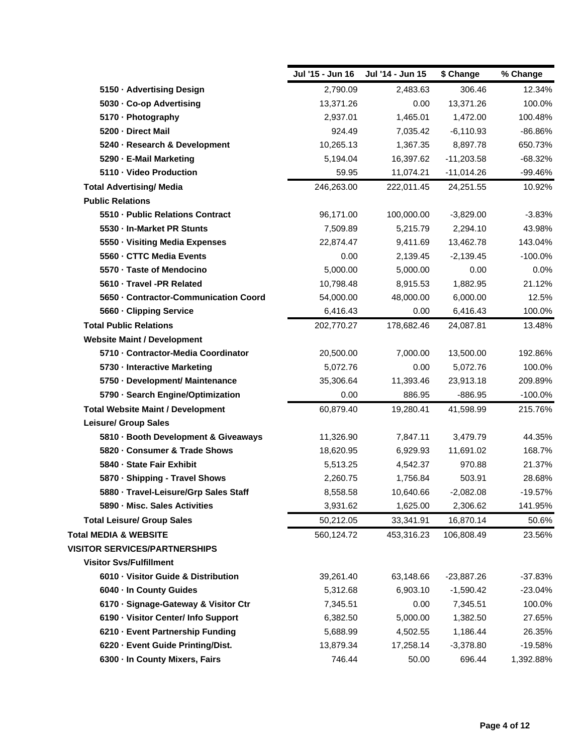|                                          | Jul '15 - Jun 16 | Jul '14 - Jun 15 | \$ Change    | % Change   |
|------------------------------------------|------------------|------------------|--------------|------------|
| 5150 - Advertising Design                | 2,790.09         | 2,483.63         | 306.46       | 12.34%     |
| 5030 Co-op Advertising                   | 13,371.26        | 0.00             | 13,371.26    | 100.0%     |
| 5170 - Photography                       | 2,937.01         | 1,465.01         | 1,472.00     | 100.48%    |
| 5200 - Direct Mail                       | 924.49           | 7,035.42         | $-6,110.93$  | -86.86%    |
| 5240 - Research & Development            | 10,265.13        | 1,367.35         | 8,897.78     | 650.73%    |
| 5290 E-Mail Marketing                    | 5,194.04         | 16,397.62        | $-11,203.58$ | $-68.32%$  |
| 5110 Video Production                    | 59.95            | 11,074.21        | $-11,014.26$ | -99.46%    |
| <b>Total Advertising/ Media</b>          | 246,263.00       | 222,011.45       | 24,251.55    | 10.92%     |
| <b>Public Relations</b>                  |                  |                  |              |            |
| 5510 - Public Relations Contract         | 96,171.00        | 100,000.00       | $-3,829.00$  | $-3.83%$   |
| 5530 In-Market PR Stunts                 | 7,509.89         | 5,215.79         | 2,294.10     | 43.98%     |
| 5550 Visiting Media Expenses             | 22,874.47        | 9,411.69         | 13,462.78    | 143.04%    |
| 5560 CTTC Media Events                   | 0.00             | 2,139.45         | $-2,139.45$  | $-100.0\%$ |
| 5570 Taste of Mendocino                  | 5,000.00         | 5,000.00         | 0.00         | 0.0%       |
| 5610 Travel -PR Related                  | 10,798.48        | 8,915.53         | 1,882.95     | 21.12%     |
| 5650 Contractor-Communication Coord      | 54,000.00        | 48,000.00        | 6,000.00     | 12.5%      |
| 5660 Clipping Service                    | 6,416.43         | 0.00             | 6,416.43     | 100.0%     |
| <b>Total Public Relations</b>            | 202,770.27       | 178,682.46       | 24,087.81    | 13.48%     |
| <b>Website Maint / Development</b>       |                  |                  |              |            |
| 5710 - Contractor-Media Coordinator      | 20,500.00        | 7,000.00         | 13,500.00    | 192.86%    |
| 5730 - Interactive Marketing             | 5,072.76         | 0.00             | 5,072.76     | 100.0%     |
| 5750 - Development/ Maintenance          | 35,306.64        | 11,393.46        | 23,913.18    | 209.89%    |
| 5790 Search Engine/Optimization          | 0.00             | 886.95           | $-886.95$    | $-100.0\%$ |
| <b>Total Website Maint / Development</b> | 60,879.40        | 19,280.41        | 41,598.99    | 215.76%    |
| <b>Leisure/ Group Sales</b>              |                  |                  |              |            |
| 5810 Booth Development & Giveaways       | 11,326.90        | 7,847.11         | 3,479.79     | 44.35%     |
| 5820 Consumer & Trade Shows              | 18,620.95        | 6,929.93         | 11,691.02    | 168.7%     |
| 5840 - State Fair Exhibit                | 5,513.25         | 4,542.37         | 970.88       | 21.37%     |
| 5870 · Shipping - Travel Shows           | 2,260.75         | 1,756.84         | 503.91       | 28.68%     |
| 5880 Travel-Leisure/Grp Sales Staff      | 8,558.58         | 10,640.66        | $-2,082.08$  | $-19.57%$  |
| 5890 Misc. Sales Activities              | 3,931.62         | 1,625.00         | 2,306.62     | 141.95%    |
| <b>Total Leisure/ Group Sales</b>        | 50,212.05        | 33,341.91        | 16,870.14    | 50.6%      |
| <b>Total MEDIA &amp; WEBSITE</b>         | 560,124.72       | 453,316.23       | 106,808.49   | 23.56%     |
| <b>VISITOR SERVICES/PARTNERSHIPS</b>     |                  |                  |              |            |
| <b>Visitor Svs/Fulfillment</b>           |                  |                  |              |            |
| 6010 Visitor Guide & Distribution        | 39,261.40        | 63,148.66        | $-23,887.26$ | $-37.83%$  |
| 6040 In County Guides                    | 5,312.68         | 6,903.10         | $-1,590.42$  | $-23.04%$  |
| 6170 · Signage-Gateway & Visitor Ctr     | 7,345.51         | 0.00             | 7,345.51     | 100.0%     |
| 6190 - Visitor Center/ Info Support      | 6,382.50         | 5,000.00         | 1,382.50     | 27.65%     |
| 6210 Event Partnership Funding           | 5,688.99         | 4,502.55         | 1,186.44     | 26.35%     |
| 6220 - Event Guide Printing/Dist.        | 13,879.34        | 17,258.14        | $-3,378.80$  | $-19.58%$  |
| 6300 - In County Mixers, Fairs           | 746.44           | 50.00            | 696.44       | 1,392.88%  |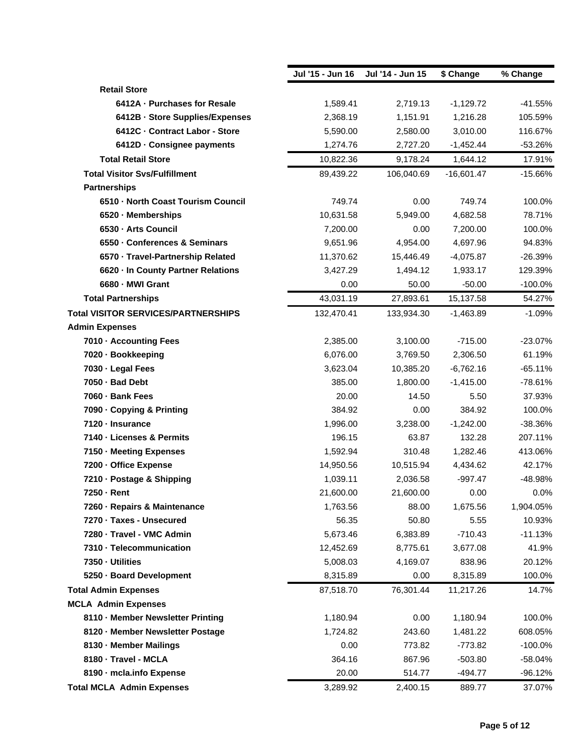|                                            | Jul '15 - Jun 16 | Jul '14 - Jun 15 | \$ Change    | % Change  |
|--------------------------------------------|------------------|------------------|--------------|-----------|
| <b>Retail Store</b>                        |                  |                  |              |           |
| 6412A - Purchases for Resale               | 1,589.41         | 2,719.13         | $-1,129.72$  | $-41.55%$ |
| 6412B - Store Supplies/Expenses            | 2,368.19         | 1,151.91         | 1,216.28     | 105.59%   |
| 6412C - Contract Labor - Store             | 5,590.00         | 2,580.00         | 3,010.00     | 116.67%   |
| 6412D - Consignee payments                 | 1,274.76         | 2,727.20         | $-1,452.44$  | $-53.26%$ |
| <b>Total Retail Store</b>                  | 10,822.36        | 9,178.24         | 1,644.12     | 17.91%    |
| <b>Total Visitor Svs/Fulfillment</b>       | 89,439.22        | 106,040.69       | $-16,601.47$ | $-15.66%$ |
| <b>Partnerships</b>                        |                  |                  |              |           |
| 6510 - North Coast Tourism Council         | 749.74           | 0.00             | 749.74       | 100.0%    |
| 6520 Memberships                           | 10,631.58        | 5,949.00         | 4,682.58     | 78.71%    |
| 6530 Arts Council                          | 7,200.00         | 0.00             | 7,200.00     | 100.0%    |
| 6550 Conferences & Seminars                | 9,651.96         | 4,954.00         | 4,697.96     | 94.83%    |
| 6570 Travel-Partnership Related            | 11,370.62        | 15,446.49        | $-4,075.87$  | $-26.39%$ |
| 6620 In County Partner Relations           | 3,427.29         | 1,494.12         | 1,933.17     | 129.39%   |
| 6680 - MWI Grant                           | 0.00             | 50.00            | $-50.00$     | $-100.0%$ |
| <b>Total Partnerships</b>                  | 43,031.19        | 27,893.61        | 15,137.58    | 54.27%    |
| <b>Total VISITOR SERVICES/PARTNERSHIPS</b> | 132,470.41       | 133,934.30       | $-1,463.89$  | $-1.09%$  |
| <b>Admin Expenses</b>                      |                  |                  |              |           |
| 7010 - Accounting Fees                     | 2,385.00         | 3,100.00         | $-715.00$    | $-23.07%$ |
| 7020 - Bookkeeping                         | 6,076.00         | 3,769.50         | 2,306.50     | 61.19%    |
| 7030 - Legal Fees                          | 3,623.04         | 10,385.20        | $-6,762.16$  | $-65.11%$ |
| 7050 - Bad Debt                            | 385.00           | 1,800.00         | $-1,415.00$  | $-78.61%$ |
| 7060 - Bank Fees                           | 20.00            | 14.50            | 5.50         | 37.93%    |
| 7090 - Copying & Printing                  | 384.92           | 0.00             | 384.92       | 100.0%    |
| 7120 - Insurance                           | 1,996.00         | 3,238.00         | $-1,242.00$  | $-38.36%$ |
| 7140 - Licenses & Permits                  | 196.15           | 63.87            | 132.28       | 207.11%   |
| 7150 - Meeting Expenses                    | 1,592.94         | 310.48           | 1,282.46     | 413.06%   |
| 7200 - Office Expense                      | 14,950.56        | 10,515.94        | 4,434.62     | 42.17%    |
| 7210 - Postage & Shipping                  | 1,039.11         | 2,036.58         | $-997.47$    | -48.98%   |
| 7250 - Rent                                | 21,600.00        | 21,600.00        | 0.00         | 0.0%      |
| 7260 - Repairs & Maintenance               | 1,763.56         | 88.00            | 1,675.56     | 1,904.05% |
| 7270 · Taxes - Unsecured                   | 56.35            | 50.80            | 5.55         | 10.93%    |
| 7280 - Travel - VMC Admin                  | 5,673.46         | 6,383.89         | $-710.43$    | $-11.13%$ |
| 7310 - Telecommunication                   | 12,452.69        | 8,775.61         | 3,677.08     | 41.9%     |
| 7350 Utilities                             | 5,008.03         | 4,169.07         | 838.96       | 20.12%    |
| 5250 · Board Development                   | 8,315.89         | 0.00             | 8,315.89     | 100.0%    |
| <b>Total Admin Expenses</b>                | 87,518.70        | 76,301.44        | 11,217.26    | 14.7%     |
| <b>MCLA Admin Expenses</b>                 |                  |                  |              |           |
| 8110 - Member Newsletter Printing          | 1,180.94         | 0.00             | 1,180.94     | 100.0%    |
| 8120 - Member Newsletter Postage           | 1,724.82         | 243.60           | 1,481.22     | 608.05%   |
| 8130 - Member Mailings                     | 0.00             | 773.82           | $-773.82$    | $-100.0%$ |
| 8180 - Travel - MCLA                       | 364.16           | 867.96           | $-503.80$    | -58.04%   |
| 8190 - mcla.info Expense                   | 20.00            | 514.77           | -494.77      | -96.12%   |
| <b>Total MCLA Admin Expenses</b>           | 3,289.92         | 2,400.15         | 889.77       | 37.07%    |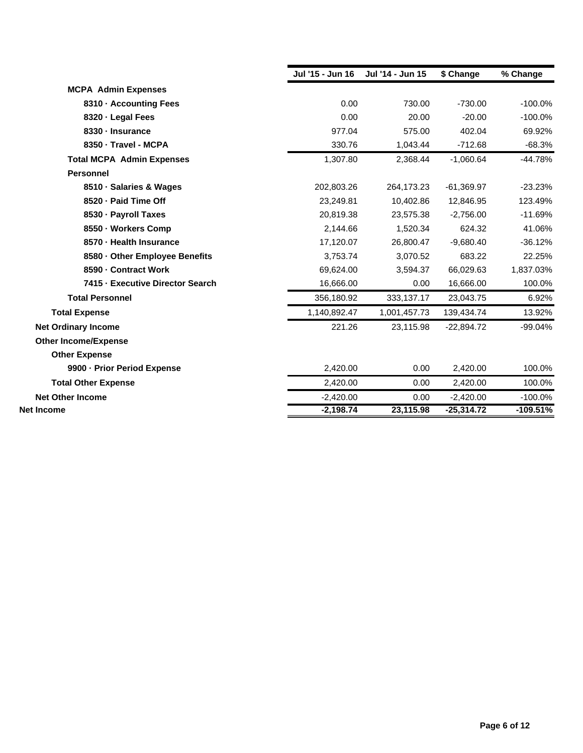|                                  | Jul '15 - Jun 16 | Jul '14 - Jun 15 | \$ Change    | % Change   |
|----------------------------------|------------------|------------------|--------------|------------|
| <b>MCPA Admin Expenses</b>       |                  |                  |              |            |
| 8310 - Accounting Fees           | 0.00             | 730.00           | $-730.00$    | $-100.0%$  |
| 8320 - Legal Fees                | 0.00             | 20.00            | $-20.00$     | $-100.0%$  |
| 8330 - Insurance                 | 977.04           | 575.00           | 402.04       | 69.92%     |
| 8350 - Travel - MCPA             | 330.76           | 1,043.44         | $-712.68$    | $-68.3%$   |
| <b>Total MCPA Admin Expenses</b> | 1,307.80         | 2,368.44         | $-1,060.64$  | $-44.78%$  |
| <b>Personnel</b>                 |                  |                  |              |            |
| 8510 - Salaries & Wages          | 202,803.26       | 264,173.23       | $-61,369.97$ | $-23.23%$  |
| 8520 - Paid Time Off             | 23,249.81        | 10,402.86        | 12,846.95    | 123.49%    |
| 8530 - Payroll Taxes             | 20,819.38        | 23,575.38        | $-2,756.00$  | $-11.69%$  |
| 8550 - Workers Comp              | 2,144.66         | 1,520.34         | 624.32       | 41.06%     |
| 8570 - Health Insurance          | 17,120.07        | 26,800.47        | $-9,680.40$  | $-36.12%$  |
| 8580 - Other Employee Benefits   | 3,753.74         | 3,070.52         | 683.22       | 22.25%     |
| 8590 - Contract Work             | 69,624.00        | 3,594.37         | 66,029.63    | 1,837.03%  |
| 7415 - Executive Director Search | 16,666.00        | 0.00             | 16,666.00    | 100.0%     |
| <b>Total Personnel</b>           | 356,180.92       | 333,137.17       | 23,043.75    | 6.92%      |
| <b>Total Expense</b>             | 1,140,892.47     | 1,001,457.73     | 139,434.74   | 13.92%     |
| <b>Net Ordinary Income</b>       | 221.26           | 23,115.98        | $-22,894.72$ | $-99.04%$  |
| <b>Other Income/Expense</b>      |                  |                  |              |            |
| <b>Other Expense</b>             |                  |                  |              |            |
| 9900 - Prior Period Expense      | 2,420.00         | 0.00             | 2,420.00     | 100.0%     |
| <b>Total Other Expense</b>       | 2,420.00         | 0.00             | 2,420.00     | 100.0%     |
| <b>Net Other Income</b>          | $-2,420.00$      | 0.00             | $-2,420.00$  | $-100.0%$  |
| <b>Net Income</b>                | $-2,198.74$      | 23,115.98        | $-25,314.72$ | $-109.51%$ |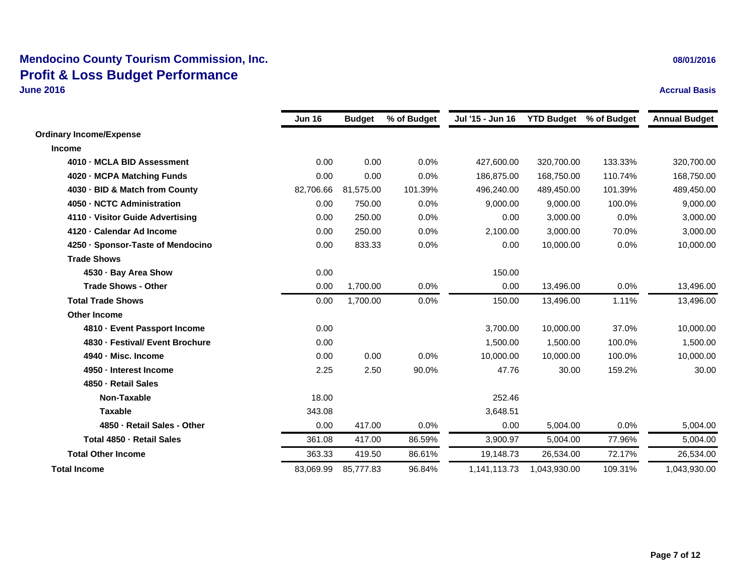# **Mendocino County Tourism Commission, Inc. 08/01/2016 108/01/2016 108/01/2016 Profit & Loss Budget Performance**

**June 2016Accrual Basis**

|                                   | <b>Jun 16</b> | <b>Budget</b> | % of Budget | Jul '15 - Jun 16 | <b>YTD Budget</b> | % of Budget | <b>Annual Budget</b> |
|-----------------------------------|---------------|---------------|-------------|------------------|-------------------|-------------|----------------------|
| <b>Ordinary Income/Expense</b>    |               |               |             |                  |                   |             |                      |
| <b>Income</b>                     |               |               |             |                  |                   |             |                      |
| 4010 - MCLA BID Assessment        | 0.00          | 0.00          | 0.0%        | 427,600.00       | 320,700.00        | 133.33%     | 320,700.00           |
| 4020 - MCPA Matching Funds        | 0.00          | 0.00          | 0.0%        | 186,875.00       | 168,750.00        | 110.74%     | 168,750.00           |
| 4030 BID & Match from County      | 82,706.66     | 81,575.00     | 101.39%     | 496,240.00       | 489,450.00        | 101.39%     | 489,450.00           |
| 4050 NCTC Administration          | 0.00          | 750.00        | 0.0%        | 9,000.00         | 9,000.00          | 100.0%      | 9,000.00             |
| 4110 Visitor Guide Advertising    | 0.00          | 250.00        | 0.0%        | 0.00             | 3.000.00          | 0.0%        | 3,000.00             |
| 4120 - Calendar Ad Income         | 0.00          | 250.00        | 0.0%        | 2,100.00         | 3,000.00          | 70.0%       | 3,000.00             |
| 4250 · Sponsor-Taste of Mendocino | 0.00          | 833.33        | 0.0%        | 0.00             | 10,000.00         | 0.0%        | 10,000.00            |
| <b>Trade Shows</b>                |               |               |             |                  |                   |             |                      |
| 4530 - Bay Area Show              | 0.00          |               |             | 150.00           |                   |             |                      |
| <b>Trade Shows - Other</b>        | 0.00          | 1,700.00      | 0.0%        | 0.00             | 13,496.00         | 0.0%        | 13,496.00            |
| <b>Total Trade Shows</b>          | 0.00          | 1,700.00      | 0.0%        | 150.00           | 13,496.00         | 1.11%       | 13,496.00            |
| <b>Other Income</b>               |               |               |             |                  |                   |             |                      |
| 4810 - Event Passport Income      | 0.00          |               |             | 3,700.00         | 10,000.00         | 37.0%       | 10,000.00            |
| 4830 - Festival/ Event Brochure   | 0.00          |               |             | 1,500.00         | 1,500.00          | 100.0%      | 1,500.00             |
| 4940 - Misc. Income               | 0.00          | 0.00          | 0.0%        | 10.000.00        | 10.000.00         | 100.0%      | 10,000.00            |
| 4950 - Interest Income            | 2.25          | 2.50          | 90.0%       | 47.76            | 30.00             | 159.2%      | 30.00                |
| 4850 - Retail Sales               |               |               |             |                  |                   |             |                      |
| Non-Taxable                       | 18.00         |               |             | 252.46           |                   |             |                      |
| <b>Taxable</b>                    | 343.08        |               |             | 3,648.51         |                   |             |                      |
| 4850 - Retail Sales - Other       | 0.00          | 417.00        | 0.0%        | 0.00             | 5,004.00          | 0.0%        | 5,004.00             |
| Total 4850 - Retail Sales         | 361.08        | 417.00        | 86.59%      | 3,900.97         | 5.004.00          | 77.96%      | 5,004.00             |
| <b>Total Other Income</b>         | 363.33        | 419.50        | 86.61%      | 19,148.73        | 26,534.00         | 72.17%      | 26,534.00            |
| <b>Total Income</b>               | 83,069.99     | 85,777.83     | 96.84%      | 1,141,113.73     | 1,043,930.00      | 109.31%     | 1,043,930.00         |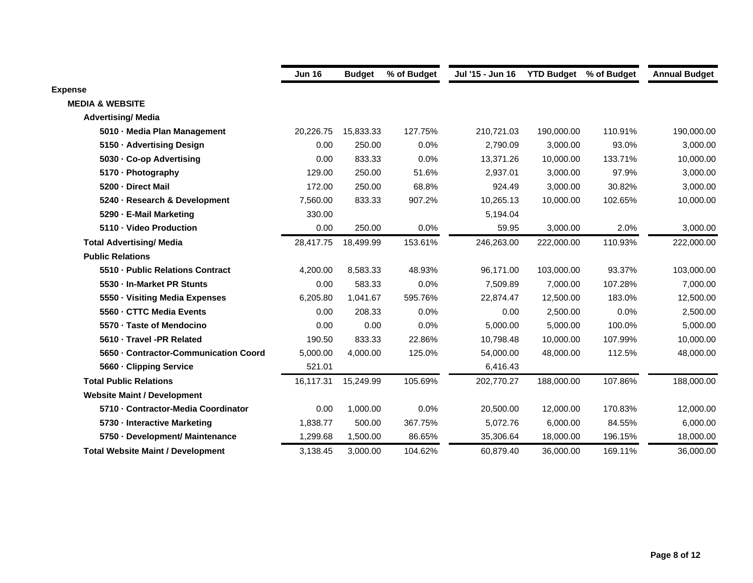|                                          | <b>Jun 16</b> | <b>Budget</b> | % of Budget | Jul '15 - Jun 16 | <b>YTD Budget</b> | % of Budget | <b>Annual Budget</b> |
|------------------------------------------|---------------|---------------|-------------|------------------|-------------------|-------------|----------------------|
| <b>Expense</b>                           |               |               |             |                  |                   |             |                      |
| <b>MEDIA &amp; WEBSITE</b>               |               |               |             |                  |                   |             |                      |
| <b>Advertising/ Media</b>                |               |               |             |                  |                   |             |                      |
| 5010 - Media Plan Management             | 20,226.75     | 15,833.33     | 127.75%     | 210,721.03       | 190,000.00        | 110.91%     | 190,000.00           |
| 5150 Advertising Design                  | 0.00          | 250.00        | 0.0%        | 2.790.09         | 3,000.00          | 93.0%       | 3,000.00             |
| 5030 Co-op Advertising                   | 0.00          | 833.33        | 0.0%        | 13,371.26        | 10,000.00         | 133.71%     | 10,000.00            |
| 5170 - Photography                       | 129.00        | 250.00        | 51.6%       | 2,937.01         | 3,000.00          | 97.9%       | 3,000.00             |
| 5200 Direct Mail                         | 172.00        | 250.00        | 68.8%       | 924.49           | 3,000.00          | 30.82%      | 3,000.00             |
| 5240 - Research & Development            | 7,560.00      | 833.33        | 907.2%      | 10,265.13        | 10,000.00         | 102.65%     | 10,000.00            |
| 5290 E-Mail Marketing                    | 330.00        |               |             | 5,194.04         |                   |             |                      |
| 5110 Video Production                    | 0.00          | 250.00        | 0.0%        | 59.95            | 3,000.00          | 2.0%        | 3,000.00             |
| <b>Total Advertising/ Media</b>          | 28,417.75     | 18,499.99     | 153.61%     | 246,263.00       | 222,000.00        | 110.93%     | 222,000.00           |
| <b>Public Relations</b>                  |               |               |             |                  |                   |             |                      |
| 5510 Public Relations Contract           | 4,200.00      | 8,583.33      | 48.93%      | 96,171.00        | 103,000.00        | 93.37%      | 103,000.00           |
| 5530 In-Market PR Stunts                 | 0.00          | 583.33        | 0.0%        | 7,509.89         | 7,000.00          | 107.28%     | 7,000.00             |
| 5550 Visiting Media Expenses             | 6,205.80      | 1,041.67      | 595.76%     | 22,874.47        | 12,500.00         | 183.0%      | 12,500.00            |
| 5560 CTTC Media Events                   | 0.00          | 208.33        | 0.0%        | 0.00             | 2,500.00          | 0.0%        | 2,500.00             |
| 5570 Taste of Mendocino                  | 0.00          | 0.00          | 0.0%        | 5,000.00         | 5,000.00          | 100.0%      | 5,000.00             |
| 5610 Travel -PR Related                  | 190.50        | 833.33        | 22.86%      | 10.798.48        | 10,000.00         | 107.99%     | 10,000.00            |
| 5650 Contractor-Communication Coord      | 5,000.00      | 4,000.00      | 125.0%      | 54,000.00        | 48,000.00         | 112.5%      | 48,000.00            |
| 5660 Clipping Service                    | 521.01        |               |             | 6,416.43         |                   |             |                      |
| <b>Total Public Relations</b>            | 16,117.31     | 15,249.99     | 105.69%     | 202,770.27       | 188,000.00        | 107.86%     | 188,000.00           |
| <b>Website Maint / Development</b>       |               |               |             |                  |                   |             |                      |
| 5710 - Contractor-Media Coordinator      | 0.00          | 1,000.00      | 0.0%        | 20,500.00        | 12,000.00         | 170.83%     | 12,000.00            |
| 5730 - Interactive Marketing             | 1,838.77      | 500.00        | 367.75%     | 5,072.76         | 6,000.00          | 84.55%      | 6,000.00             |
| 5750 Development/ Maintenance            | 1,299.68      | 1,500.00      | 86.65%      | 35,306.64        | 18,000.00         | 196.15%     | 18,000.00            |
| <b>Total Website Maint / Development</b> | 3,138.45      | 3,000.00      | 104.62%     | 60.879.40        | 36,000.00         | 169.11%     | 36,000.00            |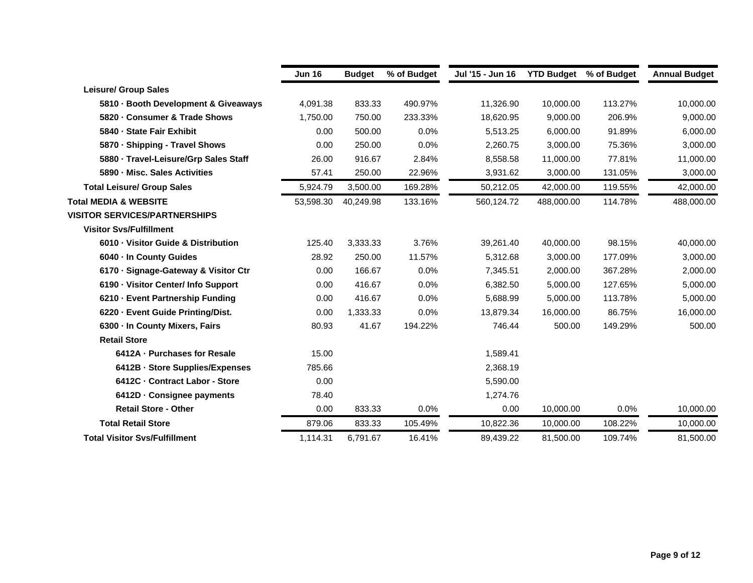|                                      | <b>Jun 16</b> | <b>Budget</b> | % of Budget | Jul '15 - Jun 16 | <b>YTD Budget</b> | % of Budget | <b>Annual Budget</b> |
|--------------------------------------|---------------|---------------|-------------|------------------|-------------------|-------------|----------------------|
| <b>Leisure/ Group Sales</b>          |               |               |             |                  |                   |             |                      |
| 5810 Booth Development & Giveaways   | 4,091.38      | 833.33        | 490.97%     | 11,326.90        | 10,000.00         | 113.27%     | 10,000.00            |
| 5820 Consumer & Trade Shows          | 1,750.00      | 750.00        | 233.33%     | 18,620.95        | 9,000.00          | 206.9%      | 9,000.00             |
| 5840 - State Fair Exhibit            | 0.00          | 500.00        | 0.0%        | 5,513.25         | 6,000.00          | 91.89%      | 6,000.00             |
| 5870 Shipping - Travel Shows         | 0.00          | 250.00        | 0.0%        | 2,260.75         | 3,000.00          | 75.36%      | 3,000.00             |
| 5880 Travel-Leisure/Grp Sales Staff  | 26.00         | 916.67        | 2.84%       | 8,558.58         | 11,000.00         | 77.81%      | 11,000.00            |
| 5890 Misc. Sales Activities          | 57.41         | 250.00        | 22.96%      | 3,931.62         | 3,000.00          | 131.05%     | 3,000.00             |
| <b>Total Leisure/ Group Sales</b>    | 5,924.79      | 3,500.00      | 169.28%     | 50.212.05        | 42,000.00         | 119.55%     | 42,000.00            |
| <b>Total MEDIA &amp; WEBSITE</b>     | 53,598.30     | 40,249.98     | 133.16%     | 560,124.72       | 488,000.00        | 114.78%     | 488,000.00           |
| <b>VISITOR SERVICES/PARTNERSHIPS</b> |               |               |             |                  |                   |             |                      |
| <b>Visitor Svs/Fulfillment</b>       |               |               |             |                  |                   |             |                      |
| 6010 Visitor Guide & Distribution    | 125.40        | 3,333.33      | 3.76%       | 39,261.40        | 40,000.00         | 98.15%      | 40,000.00            |
| 6040 In County Guides                | 28.92         | 250.00        | 11.57%      | 5,312.68         | 3,000.00          | 177.09%     | 3,000.00             |
| 6170 · Signage-Gateway & Visitor Ctr | 0.00          | 166.67        | 0.0%        | 7,345.51         | 2,000.00          | 367.28%     | 2,000.00             |
| 6190 Visitor Center/ Info Support    | 0.00          | 416.67        | 0.0%        | 6,382.50         | 5,000.00          | 127.65%     | 5,000.00             |
| 6210 - Event Partnership Funding     | 0.00          | 416.67        | 0.0%        | 5,688.99         | 5,000.00          | 113.78%     | 5,000.00             |
| 6220 Event Guide Printing/Dist.      | 0.00          | 1,333.33      | 0.0%        | 13,879.34        | 16,000.00         | 86.75%      | 16,000.00            |
| 6300 In County Mixers, Fairs         | 80.93         | 41.67         | 194.22%     | 746.44           | 500.00            | 149.29%     | 500.00               |
| <b>Retail Store</b>                  |               |               |             |                  |                   |             |                      |
| 6412A - Purchases for Resale         | 15.00         |               |             | 1,589.41         |                   |             |                      |
| 6412B - Store Supplies/Expenses      | 785.66        |               |             | 2,368.19         |                   |             |                      |
| 6412C - Contract Labor - Store       | 0.00          |               |             | 5,590.00         |                   |             |                      |
| 6412D - Consignee payments           | 78.40         |               |             | 1,274.76         |                   |             |                      |
| <b>Retail Store - Other</b>          | 0.00          | 833.33        | 0.0%        | 0.00             | 10,000.00         | 0.0%        | 10,000.00            |
| <b>Total Retail Store</b>            | 879.06        | 833.33        | 105.49%     | 10,822.36        | 10,000.00         | 108.22%     | 10,000.00            |
| <b>Total Visitor Svs/Fulfillment</b> | 1.114.31      | 6.791.67      | 16.41%      | 89,439.22        | 81.500.00         | 109.74%     | 81.500.00            |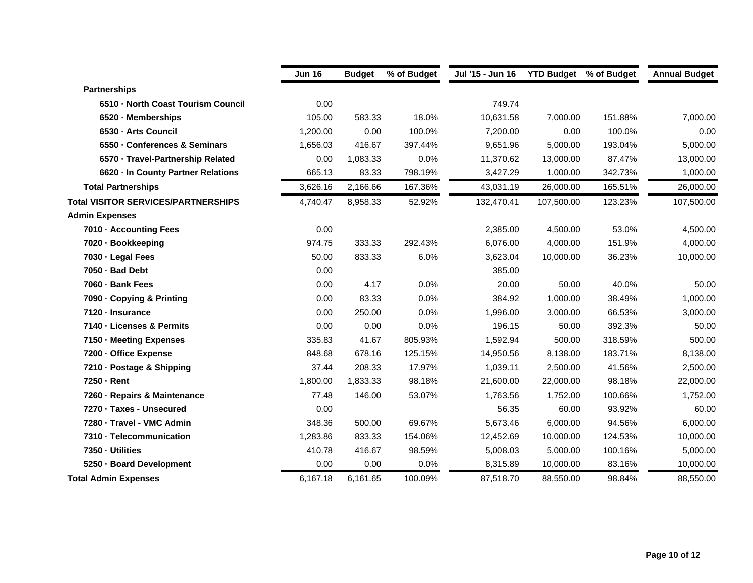|                                            | <b>Jun 16</b> | <b>Budget</b> | % of Budget | Jul '15 - Jun 16 | <b>YTD Budget</b> % of Budget |         | <b>Annual Budget</b> |
|--------------------------------------------|---------------|---------------|-------------|------------------|-------------------------------|---------|----------------------|
| <b>Partnerships</b>                        |               |               |             |                  |                               |         |                      |
| 6510 North Coast Tourism Council           | 0.00          |               |             | 749.74           |                               |         |                      |
| 6520 Memberships                           | 105.00        | 583.33        | 18.0%       | 10,631.58        | 7,000.00                      | 151.88% | 7,000.00             |
| 6530 - Arts Council                        | 1,200.00      | 0.00          | 100.0%      | 7,200.00         | 0.00                          | 100.0%  | 0.00                 |
| 6550 Conferences & Seminars                | 1,656.03      | 416.67        | 397.44%     | 9,651.96         | 5,000.00                      | 193.04% | 5,000.00             |
| 6570 Travel-Partnership Related            | 0.00          | 1,083.33      | 0.0%        | 11,370.62        | 13,000.00                     | 87.47%  | 13,000.00            |
| 6620 In County Partner Relations           | 665.13        | 83.33         | 798.19%     | 3,427.29         | 1,000.00                      | 342.73% | 1,000.00             |
| <b>Total Partnerships</b>                  | 3,626.16      | 2,166.66      | 167.36%     | 43,031.19        | 26,000.00                     | 165.51% | 26,000.00            |
| <b>Total VISITOR SERVICES/PARTNERSHIPS</b> | 4,740.47      | 8,958.33      | 52.92%      | 132,470.41       | 107,500.00                    | 123.23% | 107,500.00           |
| <b>Admin Expenses</b>                      |               |               |             |                  |                               |         |                      |
| 7010 - Accounting Fees                     | 0.00          |               |             | 2,385.00         | 4,500.00                      | 53.0%   | 4,500.00             |
| 7020 · Bookkeeping                         | 974.75        | 333.33        | 292.43%     | 6,076.00         | 4,000.00                      | 151.9%  | 4,000.00             |
| 7030 - Legal Fees                          | 50.00         | 833.33        | 6.0%        | 3,623.04         | 10,000.00                     | 36.23%  | 10,000.00            |
| 7050 - Bad Debt                            | 0.00          |               |             | 385.00           |                               |         |                      |
| 7060 - Bank Fees                           | 0.00          | 4.17          | 0.0%        | 20.00            | 50.00                         | 40.0%   | 50.00                |
| 7090 - Copying & Printing                  | 0.00          | 83.33         | 0.0%        | 384.92           | 1,000.00                      | 38.49%  | 1,000.00             |
| 7120 - Insurance                           | 0.00          | 250.00        | 0.0%        | 1,996.00         | 3,000.00                      | 66.53%  | 3,000.00             |
| 7140 - Licenses & Permits                  | 0.00          | 0.00          | 0.0%        | 196.15           | 50.00                         | 392.3%  | 50.00                |
| 7150 Meeting Expenses                      | 335.83        | 41.67         | 805.93%     | 1,592.94         | 500.00                        | 318.59% | 500.00               |
| 7200 Office Expense                        | 848.68        | 678.16        | 125.15%     | 14,950.56        | 8,138.00                      | 183.71% | 8,138.00             |
| 7210 - Postage & Shipping                  | 37.44         | 208.33        | 17.97%      | 1,039.11         | 2,500.00                      | 41.56%  | 2,500.00             |
| 7250 - Rent                                | 1,800.00      | 1,833.33      | 98.18%      | 21,600.00        | 22,000.00                     | 98.18%  | 22,000.00            |
| 7260 - Repairs & Maintenance               | 77.48         | 146.00        | 53.07%      | 1,763.56         | 1,752.00                      | 100.66% | 1,752.00             |
| 7270 - Taxes - Unsecured                   | 0.00          |               |             | 56.35            | 60.00                         | 93.92%  | 60.00                |
| 7280 - Travel - VMC Admin                  | 348.36        | 500.00        | 69.67%      | 5,673.46         | 6,000.00                      | 94.56%  | 6,000.00             |
| 7310 - Telecommunication                   | 1,283.86      | 833.33        | 154.06%     | 12,452.69        | 10,000.00                     | 124.53% | 10,000.00            |
| 7350 - Utilities                           | 410.78        | 416.67        | 98.59%      | 5,008.03         | 5,000.00                      | 100.16% | 5,000.00             |
| 5250 - Board Development                   | 0.00          | 0.00          | 0.0%        | 8,315.89         | 10,000.00                     | 83.16%  | 10,000.00            |
| <b>Total Admin Expenses</b>                | 6,167.18      | 6,161.65      | 100.09%     | 87,518.70        | 88,550.00                     | 98.84%  | 88,550.00            |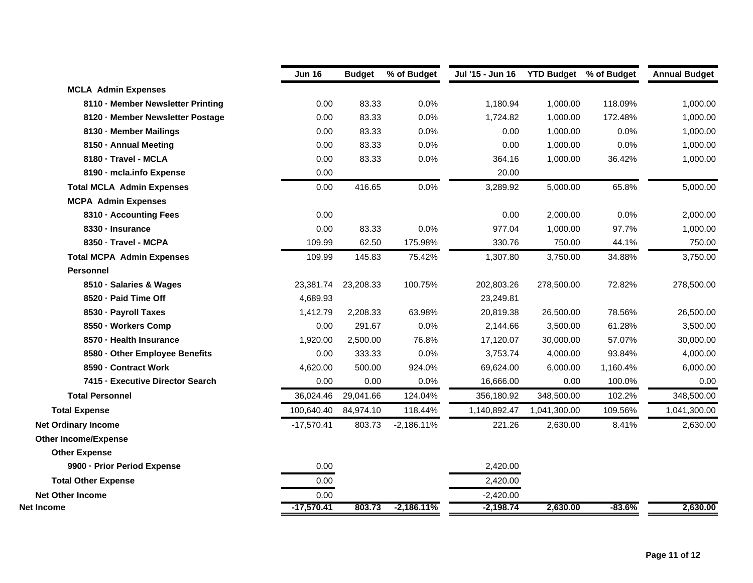|                                   | <b>Jun 16</b> | <b>Budget</b> | % of Budget  | Jul '15 - Jun 16 | <b>YTD Budget</b> % of Budget |          | <b>Annual Budget</b> |
|-----------------------------------|---------------|---------------|--------------|------------------|-------------------------------|----------|----------------------|
| <b>MCLA Admin Expenses</b>        |               |               |              |                  |                               |          |                      |
| 8110 - Member Newsletter Printing | 0.00          | 83.33         | 0.0%         | 1,180.94         | 1,000.00                      | 118.09%  | 1,000.00             |
| 8120 - Member Newsletter Postage  | 0.00          | 83.33         | 0.0%         | 1,724.82         | 1,000.00                      | 172.48%  | 1,000.00             |
| 8130 - Member Mailings            | 0.00          | 83.33         | 0.0%         | 0.00             | 1,000.00                      | 0.0%     | 1,000.00             |
| 8150 - Annual Meeting             | 0.00          | 83.33         | 0.0%         | 0.00             | 1,000.00                      | 0.0%     | 1,000.00             |
| 8180 - Travel - MCLA              | 0.00          | 83.33         | 0.0%         | 364.16           | 1,000.00                      | 36.42%   | 1,000.00             |
| 8190 - mcla.info Expense          | 0.00          |               |              | 20.00            |                               |          |                      |
| <b>Total MCLA Admin Expenses</b>  | 0.00          | 416.65        | 0.0%         | 3,289.92         | 5,000.00                      | 65.8%    | 5,000.00             |
| <b>MCPA Admin Expenses</b>        |               |               |              |                  |                               |          |                      |
| 8310 - Accounting Fees            | 0.00          |               |              | 0.00             | 2,000.00                      | 0.0%     | 2,000.00             |
| 8330 - Insurance                  | 0.00          | 83.33         | 0.0%         | 977.04           | 1,000.00                      | 97.7%    | 1,000.00             |
| 8350 - Travel - MCPA              | 109.99        | 62.50         | 175.98%      | 330.76           | 750.00                        | 44.1%    | 750.00               |
| <b>Total MCPA Admin Expenses</b>  | 109.99        | 145.83        | 75.42%       | 1,307.80         | 3,750.00                      | 34.88%   | 3,750.00             |
| <b>Personnel</b>                  |               |               |              |                  |                               |          |                      |
| 8510 · Salaries & Wages           | 23,381.74     | 23,208.33     | 100.75%      | 202,803.26       | 278,500.00                    | 72.82%   | 278,500.00           |
| 8520 - Paid Time Off              | 4,689.93      |               |              | 23,249.81        |                               |          |                      |
| 8530 - Payroll Taxes              | 1,412.79      | 2,208.33      | 63.98%       | 20,819.38        | 26,500.00                     | 78.56%   | 26,500.00            |
| 8550 - Workers Comp               | 0.00          | 291.67        | 0.0%         | 2,144.66         | 3,500.00                      | 61.28%   | 3,500.00             |
| 8570 - Health Insurance           | 1,920.00      | 2,500.00      | 76.8%        | 17,120.07        | 30,000.00                     | 57.07%   | 30,000.00            |
| 8580 - Other Employee Benefits    | 0.00          | 333.33        | 0.0%         | 3,753.74         | 4,000.00                      | 93.84%   | 4,000.00             |
| 8590 - Contract Work              | 4,620.00      | 500.00        | 924.0%       | 69,624.00        | 6,000.00                      | 1,160.4% | 6,000.00             |
| 7415 - Executive Director Search  | 0.00          | 0.00          | 0.0%         | 16,666.00        | 0.00                          | 100.0%   | 0.00                 |
| <b>Total Personnel</b>            | 36,024.46     | 29,041.66     | 124.04%      | 356,180.92       | 348,500.00                    | 102.2%   | 348,500.00           |
| <b>Total Expense</b>              | 100,640.40    | 84,974.10     | 118.44%      | 1,140,892.47     | 1,041,300.00                  | 109.56%  | 1,041,300.00         |
| <b>Net Ordinary Income</b>        | $-17,570.41$  | 803.73        | $-2,186.11%$ | 221.26           | 2,630.00                      | 8.41%    | 2,630.00             |
| <b>Other Income/Expense</b>       |               |               |              |                  |                               |          |                      |
| <b>Other Expense</b>              |               |               |              |                  |                               |          |                      |
| 9900 - Prior Period Expense       | 0.00          |               |              | 2,420.00         |                               |          |                      |
| <b>Total Other Expense</b>        | 0.00          |               |              | 2,420.00         |                               |          |                      |
| <b>Net Other Income</b>           | 0.00          |               |              | $-2,420.00$      |                               |          |                      |
| Net Income                        | $-17,570.41$  | 803.73        | $-2,186.11%$ | $-2,198.74$      | 2,630.00                      | $-83.6%$ | 2,630.00             |